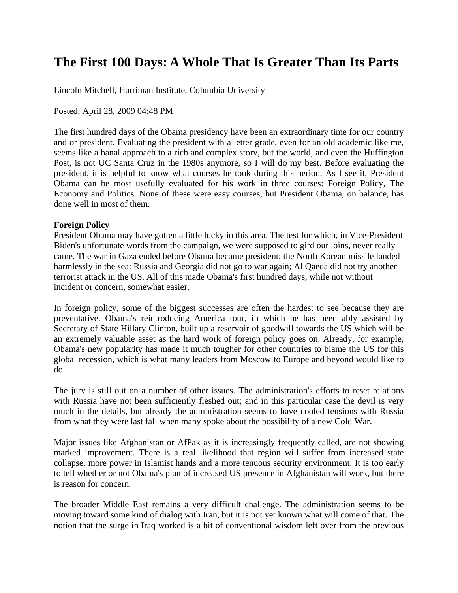# **The First 100 Days: A Whole That Is Greater Than Its Parts**

Lincoln Mitchell, Harriman Institute, Columbia University

Posted: April 28, 2009 04:48 PM

The first hundred days of the Obama presidency have been an extraordinary time for our country and or president. Evaluating the president with a letter grade, even for an old academic like me, seems like a banal approach to a rich and complex story, but the world, and even the Huffington Post, is not UC Santa Cruz in the 1980s anymore, so I will do my best. Before evaluating the president, it is helpful to know what courses he took during this period. As I see it, President Obama can be most usefully evaluated for his work in three courses: Foreign Policy, The Economy and Politics. None of these were easy courses, but President Obama, on balance, has done well in most of them.

### **Foreign Policy**

President Obama may have gotten a little lucky in this area. The test for which, in Vice-President Biden's unfortunate words from the campaign, we were supposed to gird our loins, never really came. The war in Gaza ended before Obama became president; the North Korean missile landed harmlessly in the sea: Russia and Georgia did not go to war again; Al Qaeda did not try another terrorist attack in the US. All of this made Obama's first hundred days, while not without incident or concern, somewhat easier.

In foreign policy, some of the biggest successes are often the hardest to see because they are preventative. Obama's reintroducing America tour, in which he has been ably assisted by Secretary of State Hillary Clinton, built up a reservoir of goodwill towards the US which will be an extremely valuable asset as the hard work of foreign policy goes on. Already, for example, Obama's new popularity has made it much tougher for other countries to blame the US for this global recession, which is what many leaders from Moscow to Europe and beyond would like to do.

The jury is still out on a number of other issues. The administration's efforts to reset relations with Russia have not been sufficiently fleshed out; and in this particular case the devil is very much in the details, but already the administration seems to have cooled tensions with Russia from what they were last fall when many spoke about the possibility of a new Cold War.

Major issues like Afghanistan or AfPak as it is increasingly frequently called, are not showing marked improvement. There is a real likelihood that region will suffer from increased state collapse, more power in Islamist hands and a more tenuous security environment. It is too early to tell whether or not Obama's plan of increased US presence in Afghanistan will work, but there is reason for concern.

The broader Middle East remains a very difficult challenge. The administration seems to be moving toward some kind of dialog with Iran, but it is not yet known what will come of that. The notion that the surge in Iraq worked is a bit of conventional wisdom left over from the previous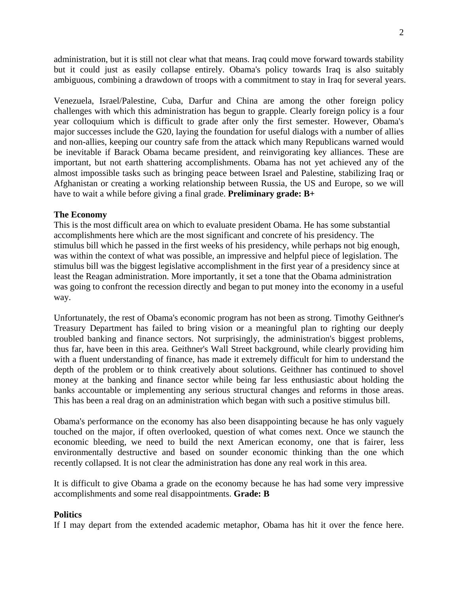administration, but it is still not clear what that means. Iraq could move forward towards stability but it could just as easily collapse entirely. Obama's policy towards Iraq is also suitably ambiguous, combining a drawdown of troops with a commitment to stay in Iraq for several years.

Venezuela, Israel/Palestine, Cuba, Darfur and China are among the other foreign policy challenges with which this administration has begun to grapple. Clearly foreign policy is a four year colloquium which is difficult to grade after only the first semester. However, Obama's major successes include the G20, laying the foundation for useful dialogs with a number of allies and non-allies, keeping our country safe from the attack which many Republicans warned would be inevitable if Barack Obama became president, and reinvigorating key alliances. These are important, but not earth shattering accomplishments. Obama has not yet achieved any of the almost impossible tasks such as bringing peace between Israel and Palestine, stabilizing Iraq or Afghanistan or creating a working relationship between Russia, the US and Europe, so we will have to wait a while before giving a final grade. **Preliminary grade: B+**

### **The Economy**

This is the most difficult area on which to evaluate president Obama. He has some substantial accomplishments here which are the most significant and concrete of his presidency. The stimulus bill which he passed in the first weeks of his presidency, while perhaps not big enough, was within the context of what was possible, an impressive and helpful piece of legislation. The stimulus bill was the biggest legislative accomplishment in the first year of a presidency since at least the Reagan administration. More importantly, it set a tone that the Obama administration was going to confront the recession directly and began to put money into the economy in a useful way.

Unfortunately, the rest of Obama's economic program has not been as strong. Timothy Geithner's Treasury Department has failed to bring vision or a meaningful plan to righting our deeply troubled banking and finance sectors. Not surprisingly, the administration's biggest problems, thus far, have been in this area. Geithner's Wall Street background, while clearly providing him with a fluent understanding of finance, has made it extremely difficult for him to understand the depth of the problem or to think creatively about solutions. Geithner has continued to shovel money at the banking and finance sector while being far less enthusiastic about holding the banks accountable or implementing any serious structural changes and reforms in those areas. This has been a real drag on an administration which began with such a positive stimulus bill.

Obama's performance on the economy has also been disappointing because he has only vaguely touched on the major, if often overlooked, question of what comes next. Once we staunch the economic bleeding, we need to build the next American economy, one that is fairer, less environmentally destructive and based on sounder economic thinking than the one which recently collapsed. It is not clear the administration has done any real work in this area.

It is difficult to give Obama a grade on the economy because he has had some very impressive accomplishments and some real disappointments. **Grade: B**

## **Politics**

If I may depart from the extended academic metaphor, Obama has hit it over the fence here.